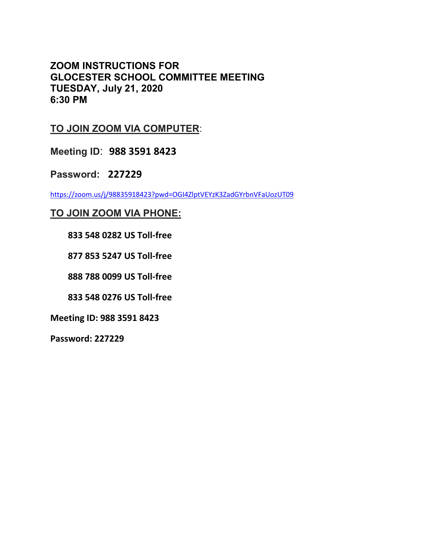**ZOOM INSTRUCTIONS FOR GLOCESTER SCHOOL COMMITTEE MEETING TUESDAY, July 21, 2020 6:30 PM**

## **TO JOIN ZOOM VIA COMPUTER**:

**Meeting ID**: **988 3591 8423**

**Password: 227229**

<https://zoom.us/j/98835918423?pwd=OGI4ZlptVEYzK3ZadGYrbnVFaUozUT09>

## **TO JOIN ZOOM VIA PHONE:**

 **833 548 0282 US Toll-free**

 **877 853 5247 US Toll-free**

 **888 788 0099 US Toll-free**

 **833 548 0276 US Toll-free**

**Meeting ID: 988 3591 8423**

**Password: 227229**